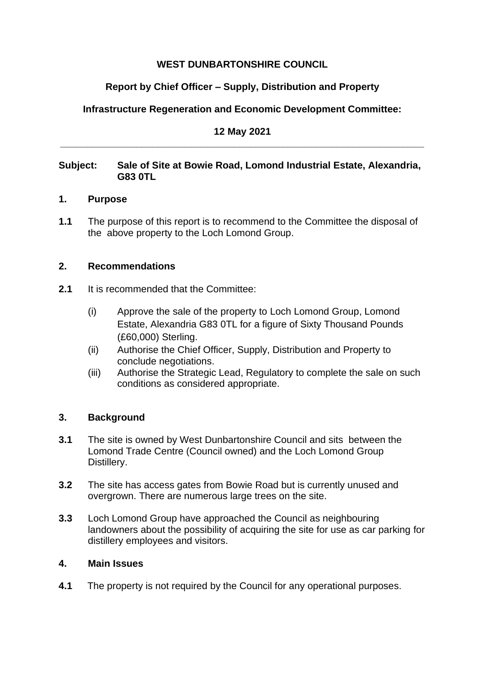## **WEST DUNBARTONSHIRE COUNCIL**

# **Report by Chief Officer – Supply, Distribution and Property**

# **Infrastructure Regeneration and Economic Development Committee:**

#### **12 May 2021 \_\_\_\_\_\_\_\_\_\_\_\_\_\_\_\_\_\_\_\_\_\_\_\_\_\_\_\_\_\_\_\_\_\_\_\_\_\_\_\_\_\_\_\_\_\_\_\_\_\_\_\_\_\_\_\_\_\_\_\_\_\_\_\_\_\_\_**

### **Subject: Sale of Site at Bowie Road, Lomond Industrial Estate, Alexandria, G83 0TL**

#### **1. Purpose**

**1.1** The purpose of this report is to recommend to the Committee the disposal of the above property to the Loch Lomond Group.

### **2. Recommendations**

- **2.1** It is recommended that the Committee:
	- (i) Approve the sale of the property to Loch Lomond Group, Lomond Estate, Alexandria G83 0TL for a figure of Sixty Thousand Pounds (£60,000) Sterling.
	- (ii) Authorise the Chief Officer, Supply, Distribution and Property to conclude negotiations.
	- (iii) Authorise the Strategic Lead, Regulatory to complete the sale on such conditions as considered appropriate.

## **3. Background**

- **3.1** The site is owned by West Dunbartonshire Council and sits between the Lomond Trade Centre (Council owned) and the Loch Lomond Group Distillery.
- **3.2** The site has access gates from Bowie Road but is currently unused and overgrown. There are numerous large trees on the site.
- **3.3** Loch Lomond Group have approached the Council as neighbouring landowners about the possibility of acquiring the site for use as car parking for distillery employees and visitors.

#### **4. Main Issues**

**4.1** The property is not required by the Council for any operational purposes.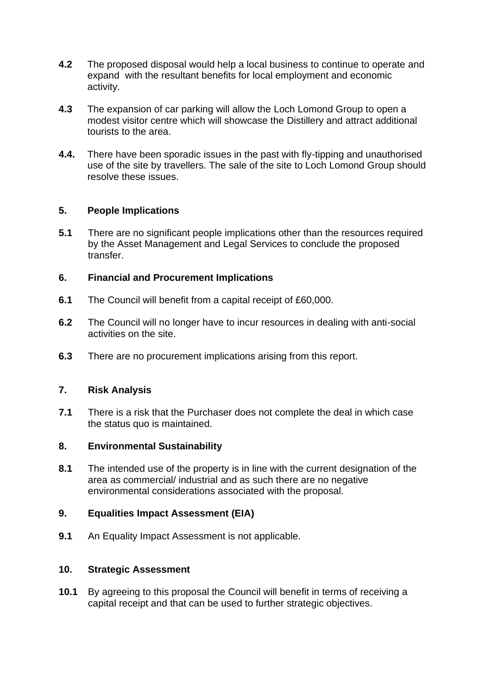- **4.2** The proposed disposal would help a local business to continue to operate and expand with the resultant benefits for local employment and economic activity.
- **4.3** The expansion of car parking will allow the Loch Lomond Group to open a modest visitor centre which will showcase the Distillery and attract additional tourists to the area.
- **4.4.** There have been sporadic issues in the past with fly-tipping and unauthorised use of the site by travellers. The sale of the site to Loch Lomond Group should resolve these issues.

## **5. People Implications**

**5.1** There are no significant people implications other than the resources required by the Asset Management and Legal Services to conclude the proposed transfer.

#### **6. Financial and Procurement Implications**

- **6.1** The Council will benefit from a capital receipt of £60,000.
- **6.2** The Council will no longer have to incur resources in dealing with anti-social activities on the site.
- **6.3** There are no procurement implications arising from this report.

#### **7. Risk Analysis**

**7.1** There is a risk that the Purchaser does not complete the deal in which case the status quo is maintained.

#### **8. Environmental Sustainability**

**8.1** The intended use of the property is in line with the current designation of the area as commercial/ industrial and as such there are no negative environmental considerations associated with the proposal.

#### **9. Equalities Impact Assessment (EIA)**

**9.1** An Equality Impact Assessment is not applicable.

#### **10. Strategic Assessment**

**10.1** By agreeing to this proposal the Council will benefit in terms of receiving a capital receipt and that can be used to further strategic objectives.